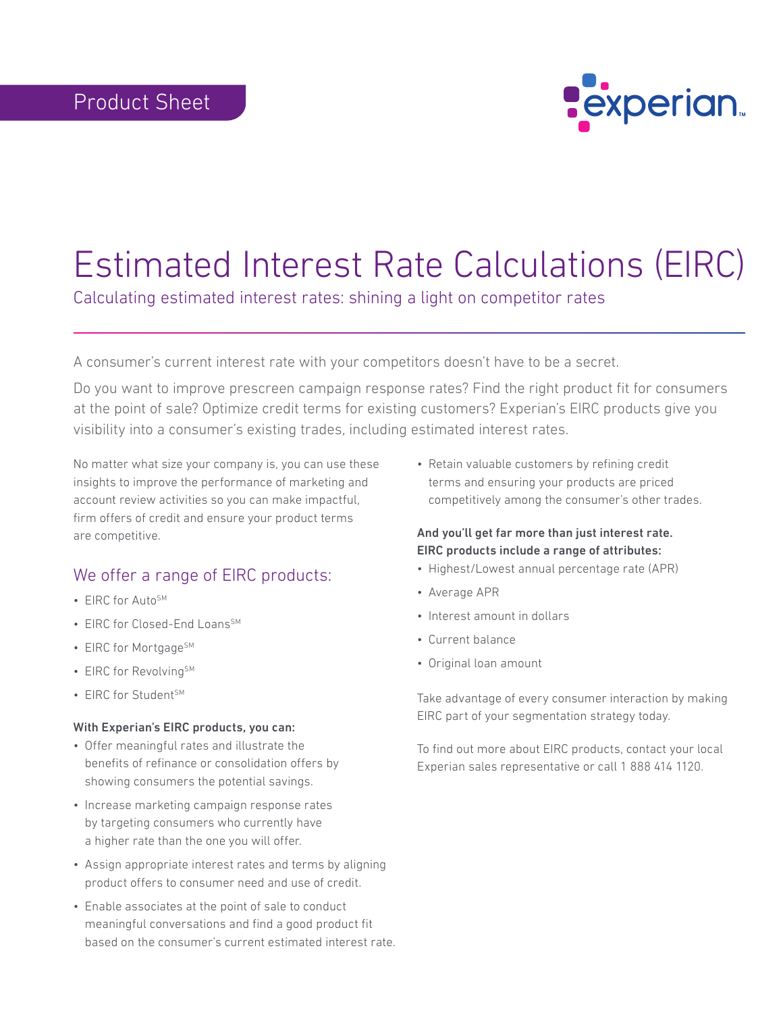

## Estimated Interest Rate Calculations (EIRC)

Calculating estimated interest rates: shining a light on competitor rates

A consumer's current interest rate with your competitors doesn't have to be a secret.

Do you want to improve prescreen campaign response rates? Find the right product fit for consumers at the point of sale? Optimize credit terms for existing customers? Experian's EIRC products give you visibility into a consumer's existing trades, including estimated interest rates.

No matter what size your company is, you can use these insights to improve the performance of marketing and account review activities so you can make impactful, firm offers of credit and ensure your product terms are competitive.

## We offer a range of EIRC products:

- FIRC for Auto<sup>SM</sup>
- EIRC for Closed-End Loans<sup>SM</sup>
- EIRC for Mortgage<sup>SM</sup>
- EIRC for Revolving<sup>SM</sup>
- EIRC for Student<sup>SM</sup>

## With Experian's EIRC products, you can:

- Offer meaningful rates and illustrate the benefits of refinance or consolidation offers by showing consumers the potential savings.
- Increase marketing campaign response rates by targeting consumers who currently have a higher rate than the one you will offer.
- Assign appropriate interest rates and terms by aligning product offers to consumer need and use of credit.
- Enable associates at the point of sale to conduct meaningful conversations and find a good product fit based on the consumer's current estimated interest rate.

• Retain valuable customers by refining credit terms and ensuring your products are priced competitively among the consumer's other trades.

## And you'll get far more than just interest rate. EIRC products include a range of attributes:

- Highest/Lowest annual percentage rate (APR)
- Average APR
- Interest amount in dollars
- Current balance
- Original loan amount

Take advantage of every consumer interaction by making EIRC part of your segmentation strategy today.

To find out more about EIRC products, contact your local Experian sales representative or call 1 888 414 1120.